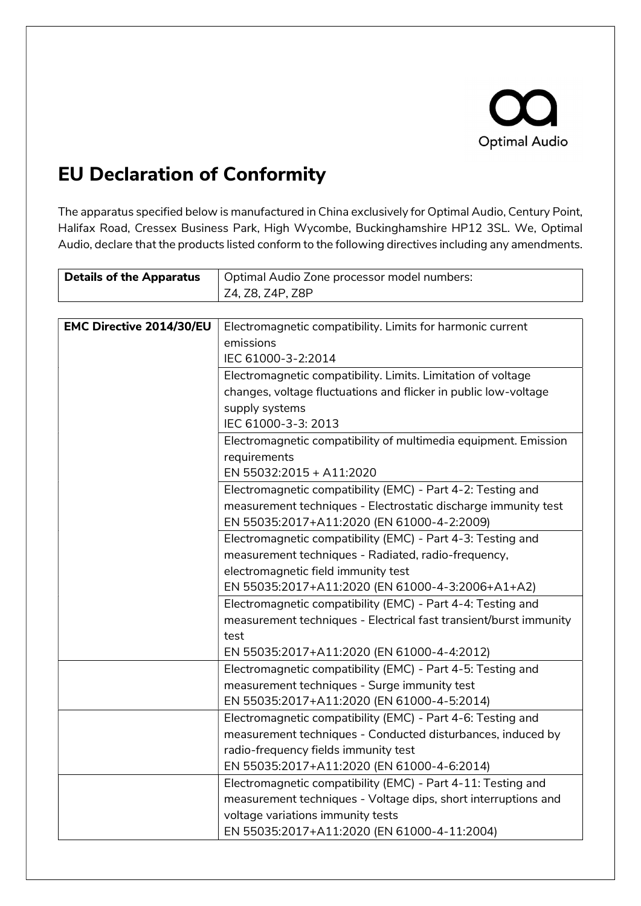

## EU Declaration of Conformity

The apparatus specified below is manufactured in China exclusively for Optimal Audio, Century Point, Halifax Road, Cressex Business Park, High Wycombe, Buckinghamshire HP12 3SL. We, Optimal Audio, declare that the products listed conform to the following directives including any amendments.

| <b>Details of the Apparatus</b> | Optimal Audio Zone processor model numbers:                       |
|---------------------------------|-------------------------------------------------------------------|
|                                 | Z4, Z8, Z4P, Z8P                                                  |
|                                 |                                                                   |
| <b>EMC Directive 2014/30/EU</b> | Electromagnetic compatibility. Limits for harmonic current        |
|                                 | emissions                                                         |
|                                 | IEC 61000-3-2:2014                                                |
|                                 | Electromagnetic compatibility. Limits. Limitation of voltage      |
|                                 | changes, voltage fluctuations and flicker in public low-voltage   |
|                                 | supply systems                                                    |
|                                 | IEC 61000-3-3: 2013                                               |
|                                 | Electromagnetic compatibility of multimedia equipment. Emission   |
|                                 | requirements                                                      |
|                                 | EN 55032:2015 + A11:2020                                          |
|                                 | Electromagnetic compatibility (EMC) - Part 4-2: Testing and       |
|                                 | measurement techniques - Electrostatic discharge immunity test    |
|                                 | EN 55035:2017+A11:2020 (EN 61000-4-2:2009)                        |
|                                 | Electromagnetic compatibility (EMC) - Part 4-3: Testing and       |
|                                 | measurement techniques - Radiated, radio-frequency,               |
|                                 | electromagnetic field immunity test                               |
|                                 | EN 55035:2017+A11:2020 (EN 61000-4-3:2006+A1+A2)                  |
|                                 | Electromagnetic compatibility (EMC) - Part 4-4: Testing and       |
|                                 | measurement techniques - Electrical fast transient/burst immunity |
|                                 | test                                                              |
|                                 | EN 55035:2017+A11:2020 (EN 61000-4-4:2012)                        |
|                                 | Electromagnetic compatibility (EMC) - Part 4-5: Testing and       |
|                                 | measurement techniques - Surge immunity test                      |
|                                 | EN 55035:2017+A11:2020 (EN 61000-4-5:2014)                        |
|                                 | Electromagnetic compatibility (EMC) - Part 4-6: Testing and       |
|                                 | measurement techniques - Conducted disturbances, induced by       |
|                                 | radio-frequency fields immunity test                              |
|                                 | EN 55035:2017+A11:2020 (EN 61000-4-6:2014)                        |
|                                 | Electromagnetic compatibility (EMC) - Part 4-11: Testing and      |
|                                 | measurement techniques - Voltage dips, short interruptions and    |
|                                 | voltage variations immunity tests                                 |
|                                 | EN 55035:2017+A11:2020 (EN 61000-4-11:2004)                       |